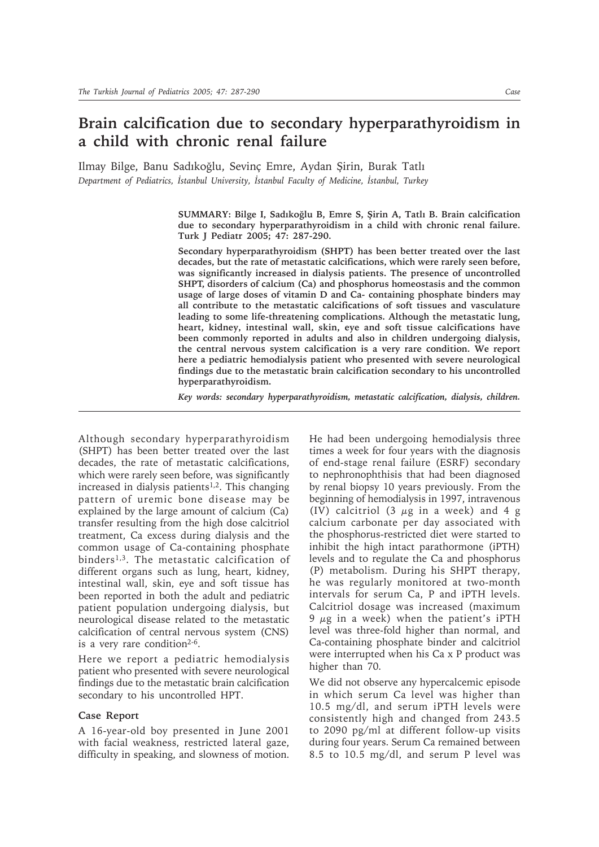## **Brain calcification due to secondary hyperparathyroidism in a child with chronic renal failure**

Ilmay Bilge, Banu Sadıkoğlu, Sevinç Emre, Aydan Şirin, Burak Tatlı *Department of Pediatrics, İstanbul University, İstanbul Faculty of Medicine, İstanbul, Turkey*

> **SUMMARY: Bilge I, Sadıkoğlu B, Emre S, Şirin A, Tatlı B. Brain calcification due to secondary hyperparathyroidism in a child with chronic renal failure. Turk J Pediatr 2005; 47: 287-290.**

> **Secondary hyperparathyroidism (SHPT) has been better treated over the last decades, but the rate of metastatic calcifications, which were rarely seen before, was significantly increased in dialysis patients. The presence of uncontrolled SHPT, disorders of calcium (Ca) and phosphorus homeostasis and the common usage of large doses of vitamin D and Ca- containing phosphate binders may all contribute to the metastatic calcifications of soft tissues and vasculature leading to some life-threatening complications. Although the metastatic lung, heart, kidney, intestinal wall, skin, eye and soft tissue calcifications have been commonly reported in adults and also in children undergoing dialysis, the central nervous system calcification is a very rare condition. We report here a pediatric hemodialysis patient who presented with severe neurological findings due to the metastatic brain calcification secondary to his uncontrolled hyperparathyroidism.**

> *Key words: secondary hyperparathyroidism, metastatic calcification, dialysis, children.*

Although secondary hyperparathyroidism (SHPT) has been better treated over the last decades, the rate of metastatic calcifications, which were rarely seen before, was significantly increased in dialysis patients<sup>1,2</sup>. This changing pattern of uremic bone disease may be explained by the large amount of calcium (Ca) transfer resulting from the high dose calcitriol treatment, Ca excess during dialysis and the common usage of Ca-containing phosphate binders<sup>1,3</sup>. The metastatic calcification of different organs such as lung, heart, kidney, intestinal wall, skin, eye and soft tissue has been reported in both the adult and pediatric patient population undergoing dialysis, but neurological disease related to the metastatic calcification of central nervous system (CNS) is a very rare condition<sup>2-6</sup>.

Here we report a pediatric hemodialysis patient who presented with severe neurological findings due to the metastatic brain calcification secondary to his uncontrolled HPT.

## **Case Report**

A 16-year-old boy presented in June 2001 with facial weakness, restricted lateral gaze, difficulty in speaking, and slowness of motion. He had been undergoing hemodialysis three times a week for four years with the diagnosis of end-stage renal failure (ESRF) secondary to nephronophthisis that had been diagnosed by renal biopsy 10 years previously. From the beginning of hemodialysis in 1997, intravenous (IV) calcitriol (3  $\mu$ g in a week) and 4 g calcium carbonate per day associated with the phosphorus-restricted diet were started to inhibit the high intact parathormone (iPTH) levels and to regulate the Ca and phosphorus (P) metabolism. During his SHPT therapy, he was regularly monitored at two-month intervals for serum Ca, P and iPTH levels. Calcitriol dosage was increased (maximum 9  $\mu$ g in a week) when the patient's iPTH level was three-fold higher than normal, and Ca-containing phosphate binder and calcitriol were interrupted when his Ca x P product was higher than 70.

We did not observe any hypercalcemic episode in which serum Ca level was higher than 10.5 mg/dl, and serum iPTH levels were consistently high and changed from 243.5 to 2090 pg/ml at different follow-up visits during four years. Serum Ca remained between 8.5 to 10.5 mg/dl, and serum P level was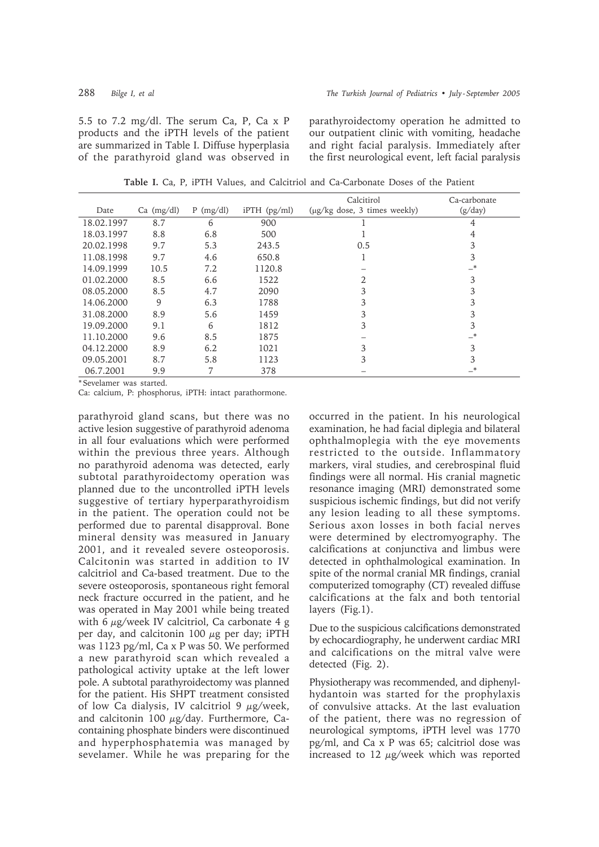5.5 to 7.2 mg/dl. The serum Ca, P, Ca x P products and the iPTH levels of the patient are summarized in Table I. Diffuse hyperplasia of the parathyroid gland was observed in

parathyroidectomy operation he admitted to our outpatient clinic with vomiting, headache and right facial paralysis. Immediately after the first neurological event, left facial paralysis

| Date       | $Ca \ (mg/dl)$ | $P$ (mg/dl) | $i$ PTH $(pg/ml)$ | Calcitirol<br>(µg/kg dose, 3 times weekly) | Ca-carbonate<br>(g/day) |
|------------|----------------|-------------|-------------------|--------------------------------------------|-------------------------|
|            |                |             |                   |                                            |                         |
| 18.02.1997 | 8.7            | 6           | 900               |                                            | 4                       |
| 18.03.1997 | 8.8            | 6.8         | 500               |                                            | 4                       |
| 20.02.1998 | 9.7            | 5.3         | 243.5             | 0.5                                        | 3                       |
| 11.08.1998 | 9.7            | 4.6         | 650.8             |                                            | 3                       |
| 14.09.1999 | 10.5           | 7.2         | 1120.8            |                                            | $_{\cdot}$              |
| 01.02.2000 | 8.5            | 6.6         | 1522              | 2                                          | 3                       |
| 08.05.2000 | 8.5            | 4.7         | 2090              | 3                                          | 3                       |
| 14.06.2000 | 9              | 6.3         | 1788              | 3                                          | 3                       |
| 31.08.2000 | 8.9            | 5.6         | 1459              | 3                                          | 3                       |
| 19.09.2000 | 9.1            | 6           | 1812              | 3                                          | 3                       |
| 11.10.2000 | 9.6            | 8.5         | 1875              |                                            | _*                      |
| 04.12.2000 | 8.9            | 6.2         | 1021              | 3                                          | 3                       |
| 09.05.2001 | 8.7            | 5.8         | 1123              | 3                                          | 3                       |
| 06.7.2001  | 9.9            | 7           | 378               |                                            | *                       |

**Table I.** Ca, P, iPTH Values, and Calcitriol and Ca-Carbonate Doses of the Patient

\* Sevelamer was started.

Ca: calcium, P: phosphorus, iPTH: intact parathormone.

parathyroid gland scans, but there was no active lesion suggestive of parathyroid adenoma in all four evaluations which were performed within the previous three years. Although no parathyroid adenoma was detected, early subtotal parathyroidectomy operation was planned due to the uncontrolled iPTH levels suggestive of tertiary hyperparathyroidism in the patient. The operation could not be performed due to parental disapproval. Bone mineral density was measured in January 2001, and it revealed severe osteoporosis. Calcitonin was started in addition to IV calcitriol and Ca-based treatment. Due to the severe osteoporosis, spontaneous right femoral neck fracture occurred in the patient, and he was operated in May 2001 while being treated with 6 μg/week IV calcitriol, Ca carbonate 4 g per day, and calcitonin 100  $\mu$ g per day; iPTH was 1123 pg/ml, Ca x P was 50. We performed a new parathyroid scan which revealed a pathological activity uptake at the left lower pole. A subtotal parathyroidectomy was planned for the patient. His SHPT treatment consisted of low Ca dialysis, IV calcitriol 9  $\mu$ g/week, and calcitonin 100  $\mu$ g/day. Furthermore, Cacontaining phosphate binders were discontinued and hyperphosphatemia was managed by sevelamer. While he was preparing for the occurred in the patient. In his neurological examination, he had facial diplegia and bilateral ophthalmoplegia with the eye movements restricted to the outside. Inflammatory markers, viral studies, and cerebrospinal fluid findings were all normal. His cranial magnetic resonance imaging (MRI) demonstrated some suspicious ischemic findings, but did not verify any lesion leading to all these symptoms. Serious axon losses in both facial nerves were determined by electromyography. The calcifications at conjunctiva and limbus were detected in ophthalmological examination. In spite of the normal cranial MR findings, cranial computerized tomography (CT) revealed diffuse calcifications at the falx and both tentorial layers (Fig.1).

Due to the suspicious calcifications demonstrated by echocardiography, he underwent cardiac MRI and calcifications on the mitral valve were detected (Fig. 2).

Physiotherapy was recommended, and diphenylhydantoin was started for the prophylaxis of convulsive attacks. At the last evaluation of the patient, there was no regression of neurological symptoms, iPTH level was 1770 pg/ml, and Ca x P was 65; calcitriol dose was increased to 12  $\mu$ g/week which was reported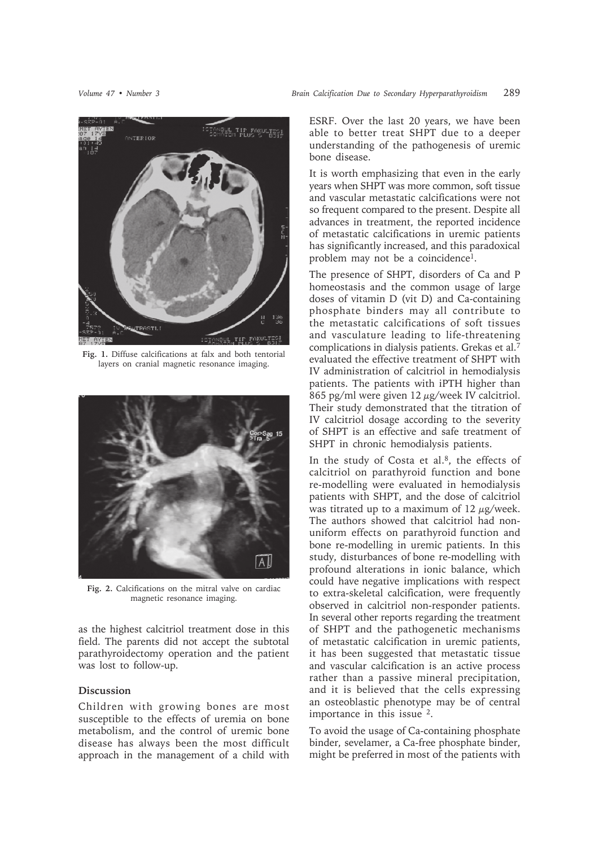

**Fig. 1.** Diffuse calcifications at falx and both tentorial layers on cranial magnetic resonance imaging.



**Fig. 2.** Calcifications on the mitral valve on cardiac magnetic resonance imaging.

as the highest calcitriol treatment dose in this field. The parents did not accept the subtotal parathyroidectomy operation and the patient was lost to follow-up.

## **Discussion**

Children with growing bones are most susceptible to the effects of uremia on bone metabolism, and the control of uremic bone disease has always been the most difficult approach in the management of a child with

ESRF. Over the last 20 years, we have been able to better treat SHPT due to a deeper understanding of the pathogenesis of uremic bone disease.

It is worth emphasizing that even in the early years when SHPT was more common, soft tissue and vascular metastatic calcifications were not so frequent compared to the present. Despite all advances in treatment, the reported incidence of metastatic calcifications in uremic patients has significantly increased, and this paradoxical problem may not be a coincidence<sup>1</sup>.

The presence of SHPT, disorders of Ca and P homeostasis and the common usage of large doses of vitamin D (vit D) and Ca-containing phosphate binders may all contribute to the metastatic calcifications of soft tissues and vasculature leading to life-threatening complications in dialysis patients. Grekas et al.7 evaluated the effective treatment of SHPT with IV administration of calcitriol in hemodialysis patients. The patients with iPTH higher than 865 pg/ml were given  $12 \mu$ g/week IV calcitriol. Their study demonstrated that the titration of IV calcitriol dosage according to the severity of SHPT is an effective and safe treatment of SHPT in chronic hemodialysis patients.

In the study of Costa et al.8, the effects of calcitriol on parathyroid function and bone re-modelling were evaluated in hemodialysis patients with SHPT, and the dose of calcitriol was titrated up to a maximum of  $12 \mu$ g/week. The authors showed that calcitriol had nonuniform effects on parathyroid function and bone re-modelling in uremic patients. In this study, disturbances of bone re-modelling with profound alterations in ionic balance, which could have negative implications with respect to extra-skeletal calcification, were frequently observed in calcitriol non-responder patients. In several other reports regarding the treatment of SHPT and the pathogenetic mechanisms of metastatic calcification in uremic patients, it has been suggested that metastatic tissue and vascular calcification is an active process rather than a passive mineral precipitation, and it is believed that the cells expressing an osteoblastic phenotype may be of central importance in this issue 2.

To avoid the usage of Ca-containing phosphate binder, sevelamer, a Ca-free phosphate binder, might be preferred in most of the patients with